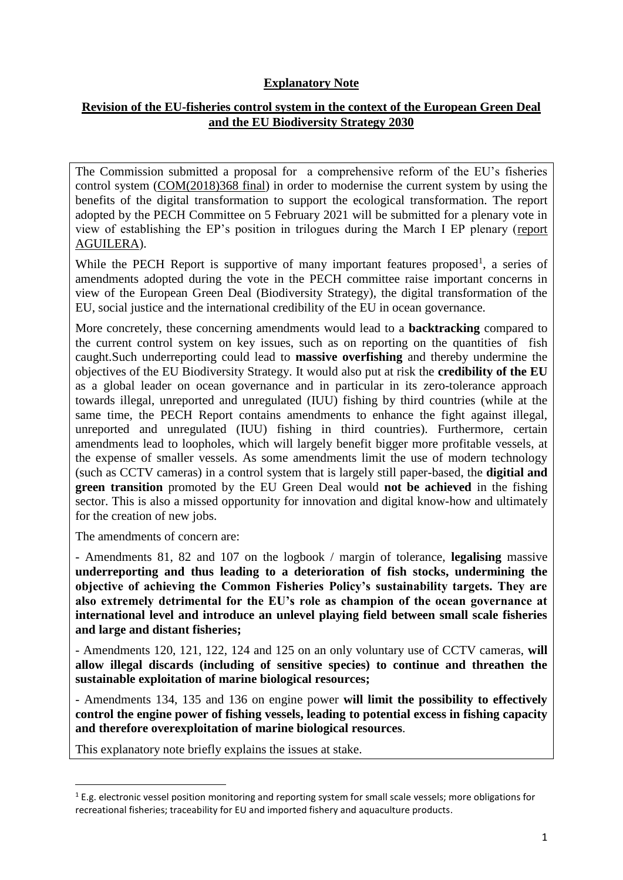# **Explanatory Note**

# **Revision of the EU-fisheries control system in the context of the European Green Deal and the EU Biodiversity Strategy 2030**

The Commission submitted a proposal for a comprehensive reform of the EU's fisheries control system [\(COM\(2018\)368 final\)](https://eur-lex.europa.eu/legal-content/EN/TXT/?uri=CELEX%3A52018PC0368) in order to modernise the current system by using the benefits of the digital transformation to support the ecological transformation. The report adopted by the PECH Committee on 5 February 2021 will be submitted for a plenary vote in view of establishing the EP's position in trilogues during the March I EP plenary [\(report](https://www.europarl.europa.eu/doceo/document/A-9-2021-0016_EN.html)  [AGUILERA\)](https://www.europarl.europa.eu/doceo/document/A-9-2021-0016_EN.html).

While the PECH Report is supportive of many important features proposed<sup>1</sup>, a series of amendments adopted during the vote in the PECH committee raise important concerns in view of the European Green Deal (Biodiversity Strategy), the digital transformation of the EU, social justice and the international credibility of the EU in ocean governance.

More concretely, these concerning amendments would lead to a **backtracking** compared to the current control system on key issues, such as on reporting on the quantities of fish caught.Such underreporting could lead to **massive overfishing** and thereby undermine the objectives of the EU Biodiversity Strategy. It would also put at risk the **credibility of the EU** as a global leader on ocean governance and in particular in its zero-tolerance approach towards illegal, unreported and unregulated (IUU) fishing by third countries (while at the same time, the PECH Report contains amendments to enhance the fight against illegal, unreported and unregulated (IUU) fishing in third countries). Furthermore, certain amendments lead to loopholes, which will largely benefit bigger more profitable vessels, at the expense of smaller vessels. As some amendments limit the use of modern technology (such as CCTV cameras) in a control system that is largely still paper-based, the **digitial and green transition** promoted by the EU Green Deal would **not be achieved** in the fishing sector. This is also a missed opportunity for innovation and digital know-how and ultimately for the creation of new jobs.

The amendments of concern are:

**.** 

- Amendments 81, 82 and 107 on the logbook / margin of tolerance, **legalising** massive **underreporting and thus leading to a deterioration of fish stocks, undermining the objective of achieving the Common Fisheries Policy's sustainability targets. They are also extremely detrimental for the EU's role as champion of the ocean governance at international level and introduce an unlevel playing field between small scale fisheries and large and distant fisheries;**

- Amendments 120, 121, 122, 124 and 125 on an only voluntary use of CCTV cameras, **will allow illegal discards (including of sensitive species) to continue and threathen the sustainable exploitation of marine biological resources;**

- Amendments 134, 135 and 136 on engine power **will limit the possibility to effectively control the engine power of fishing vessels, leading to potential excess in fishing capacity and therefore overexploitation of marine biological resources**.

This explanatory note briefly explains the issues at stake.

 $1$  E.g. electronic vessel position monitoring and reporting system for small scale vessels; more obligations for recreational fisheries; traceability for EU and imported fishery and aquaculture products.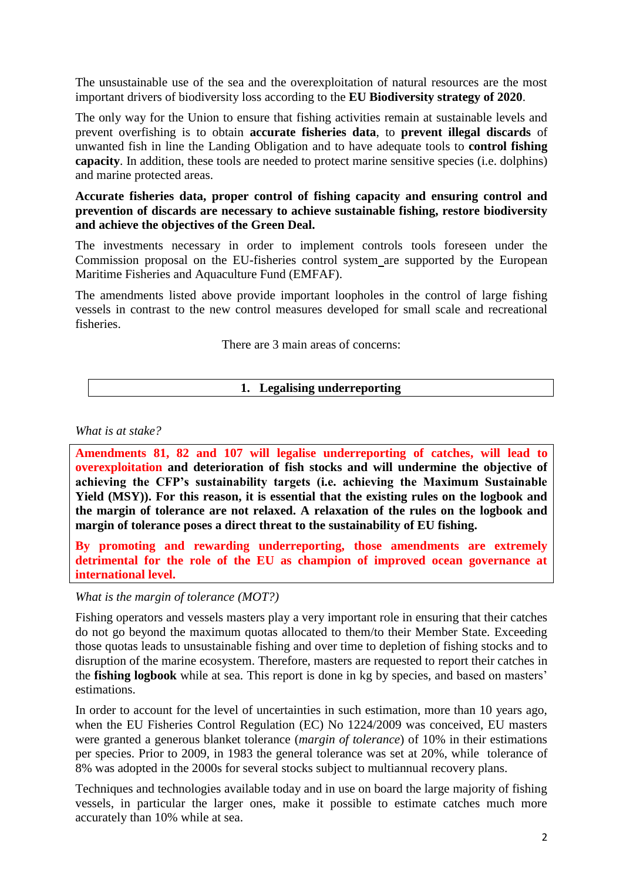The unsustainable use of the sea and the overexploitation of natural resources are the most important drivers of biodiversity loss according to the **EU Biodiversity strategy of 2020**.

The only way for the Union to ensure that fishing activities remain at sustainable levels and prevent overfishing is to obtain **accurate fisheries data**, to **prevent illegal discards** of unwanted fish in line the Landing Obligation and to have adequate tools to **control fishing capacity**. In addition, these tools are needed to protect marine sensitive species (i.e. dolphins) and marine protected areas.

### **Accurate fisheries data, proper control of fishing capacity and ensuring control and prevention of discards are necessary to achieve sustainable fishing, restore biodiversity and achieve the objectives of the Green Deal.**

The investments necessary in order to implement controls tools foreseen under the Commission proposal on the EU-fisheries control system are supported by the European Maritime Fisheries and Aquaculture Fund (EMFAF).

The amendments listed above provide important loopholes in the control of large fishing vessels in contrast to the new control measures developed for small scale and recreational fisheries.

There are 3 main areas of concerns:

### **1. Legalising underreporting**

#### *What is at stake?*

**Amendments 81, 82 and 107 will legalise underreporting of catches, will lead to overexploitation and deterioration of fish stocks and will undermine the objective of achieving the CFP's sustainability targets (i.e. achieving the Maximum Sustainable Yield (MSY)). For this reason, it is essential that the existing rules on the logbook and the margin of tolerance are not relaxed. A relaxation of the rules on the logbook and margin of tolerance poses a direct threat to the sustainability of EU fishing.**

**By promoting and rewarding underreporting, those amendments are extremely detrimental for the role of the EU as champion of improved ocean governance at international level.**

### *What is the margin of tolerance (MOT?)*

Fishing operators and vessels masters play a very important role in ensuring that their catches do not go beyond the maximum quotas allocated to them/to their Member State. Exceeding those quotas leads to unsustainable fishing and over time to depletion of fishing stocks and to disruption of the marine ecosystem. Therefore, masters are requested to report their catches in the **fishing logbook** while at sea. This report is done in kg by species, and based on masters' estimations.

In order to account for the level of uncertainties in such estimation, more than 10 years ago, when the EU Fisheries Control Regulation (EC) No 1224/2009 was conceived, EU masters were granted a generous blanket tolerance (*margin of tolerance*) of 10% in their estimations per species. Prior to 2009, in 1983 the general tolerance was set at 20%, while tolerance of 8% was adopted in the 2000s for several stocks subject to multiannual recovery plans.

Techniques and technologies available today and in use on board the large majority of fishing vessels, in particular the larger ones, make it possible to estimate catches much more accurately than 10% while at sea.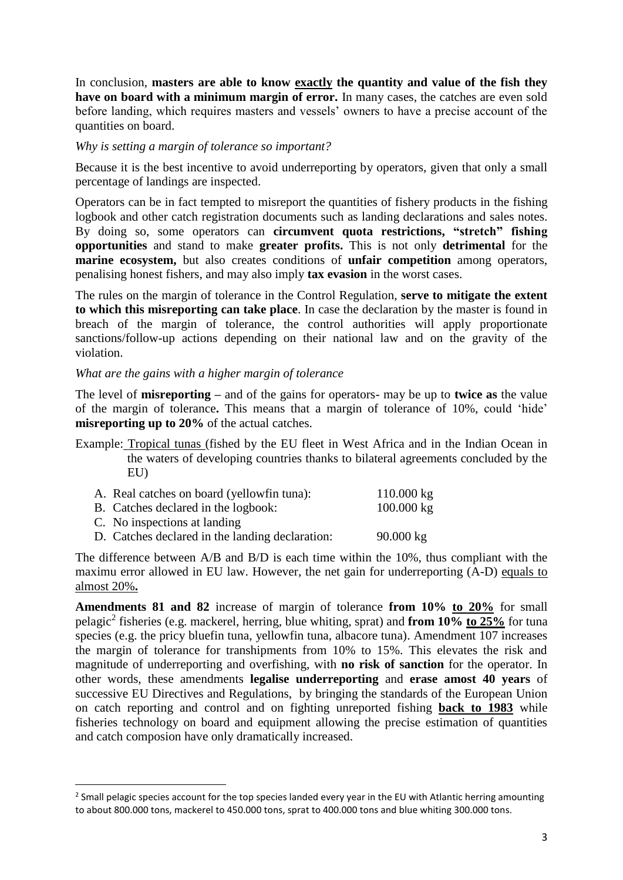In conclusion, **masters are able to know exactly the quantity and value of the fish they have on board with a minimum margin of error.** In many cases, the catches are even sold before landing, which requires masters and vessels' owners to have a precise account of the quantities on board.

*Why is setting a margin of tolerance so important?* 

Because it is the best incentive to avoid underreporting by operators, given that only a small percentage of landings are inspected.

Operators can be in fact tempted to misreport the quantities of fishery products in the fishing logbook and other catch registration documents such as landing declarations and sales notes. By doing so, some operators can **circumvent quota restrictions, "stretch" fishing opportunities** and stand to make **greater profits.** This is not only **detrimental** for the **marine ecosystem,** but also creates conditions of **unfair competition** among operators, penalising honest fishers, and may also imply **tax evasion** in the worst cases.

The rules on the margin of tolerance in the Control Regulation, **serve to mitigate the extent to which this misreporting can take place**. In case the declaration by the master is found in breach of the margin of tolerance, the control authorities will apply proportionate sanctions/follow-up actions depending on their national law and on the gravity of the violation.

#### *What are the gains with a higher margin of tolerance*

**.** 

The level of **misreporting –** and of the gains for operators- may be up to **twice as** the value of the margin of tolerance**.** This means that a margin of tolerance of 10%, could 'hide' **misreporting up to 20%** of the actual catches.

Example: Tropical tunas (fished by the EU fleet in West Africa and in the Indian Ocean in the waters of developing countries thanks to bilateral agreements concluded by the EU)

| A. Real catches on board (yellowfin tuna):      | $110.000 \text{ kg}$ |
|-------------------------------------------------|----------------------|
| B. Catches declared in the logbook:             | $100.000 \text{ kg}$ |
| C. No inspections at landing                    |                      |
| D. Catches declared in the landing declaration: | $90.000 \text{ kg}$  |

The difference between A/B and B/D is each time within the 10%, thus compliant with the maximu error allowed in EU law. However, the net gain for underreporting (A-D) equals to almost 20%**.**

**Amendments 81 and 82** increase of margin of tolerance **from 10% to 20%** for small pelagic<sup>2</sup> fisheries (e.g. mackerel, herring, blue whiting, sprat) and **from 10% to 25%** for tuna species (e.g. the pricy bluefin tuna, yellowfin tuna, albacore tuna). Amendment 107 increases the margin of tolerance for transhipments from 10% to 15%. This elevates the risk and magnitude of underreporting and overfishing, with **no risk of sanction** for the operator. In other words, these amendments **legalise underreporting** and **erase amost 40 years** of successive EU Directives and Regulations, by bringing the standards of the European Union on catch reporting and control and on fighting unreported fishing **back to 1983** while fisheries technology on board and equipment allowing the precise estimation of quantities and catch composion have only dramatically increased.

 $2$  Small pelagic species account for the top species landed every year in the EU with Atlantic herring amounting to about 800.000 tons, mackerel to 450.000 tons, sprat to 400.000 tons and blue whiting 300.000 tons.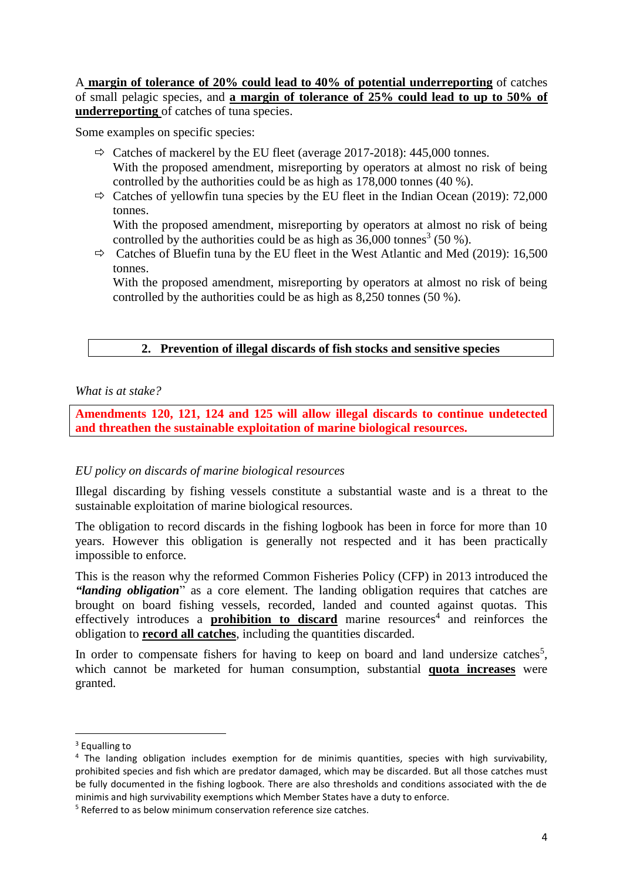A **margin of tolerance of 20% could lead to 40% of potential underreporting** of catches of small pelagic species, and **a margin of tolerance of 25% could lead to up to 50% of underreporting** of catches of tuna species.

Some examples on specific species:

- $\Rightarrow$  Catches of mackerel by the EU fleet (average 2017-2018): 445,000 tonnes. With the proposed amendment, misreporting by operators at almost no risk of being controlled by the authorities could be as high as 178,000 tonnes (40 %).
- $\Rightarrow$  Catches of vellowfin tuna species by the EU fleet in the Indian Ocean (2019): 72,000 tonnes.

With the proposed amendment, misreporting by operators at almost no risk of being controlled by the authorities could be as high as  $36,000$  tonnes<sup>3</sup> (50 %).

 $\Rightarrow$  Catches of Bluefin tuna by the EU fleet in the West Atlantic and Med (2019): 16,500 tonnes.

With the proposed amendment, misreporting by operators at almost no risk of being controlled by the authorities could be as high as 8,250 tonnes (50 %).

# **2. Prevention of illegal discards of fish stocks and sensitive species**

### *What is at stake?*

**Amendments 120, 121, 124 and 125 will allow illegal discards to continue undetected and threathen the sustainable exploitation of marine biological resources.**

# *EU policy on discards of marine biological resources*

Illegal discarding by fishing vessels constitute a substantial waste and is a threat to the sustainable exploitation of marine biological resources.

The obligation to record discards in the fishing logbook has been in force for more than 10 years. However this obligation is generally not respected and it has been practically impossible to enforce.

This is the reason why the reformed Common Fisheries Policy (CFP) in 2013 introduced the *"landing obligation*" as a core element. The landing obligation requires that catches are brought on board fishing vessels, recorded, landed and counted against quotas. This effectively introduces a **prohibition to discard** marine resources<sup>4</sup> and reinforces the obligation to **record all catches**, including the quantities discarded.

In order to compensate fishers for having to keep on board and land undersize catches<sup>5</sup>, which cannot be marketed for human consumption, substantial **quota increases** were granted.

**.** 

<sup>&</sup>lt;sup>3</sup> Equalling to

<sup>4</sup> The landing obligation includes exemption for de minimis quantities, species with high survivability, prohibited species and fish which are predator damaged, which may be discarded. But all those catches must be fully documented in the fishing logbook. There are also thresholds and conditions associated with the de minimis and high survivability exemptions which Member States have a duty to enforce.

<sup>&</sup>lt;sup>5</sup> Referred to as below minimum conservation reference size catches.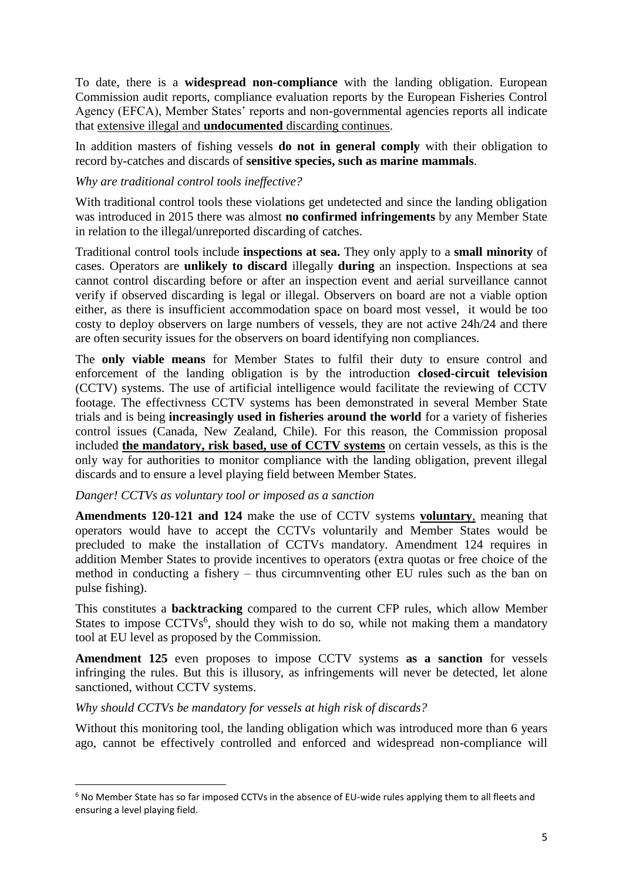To date, there is a **widespread non-compliance** with the landing obligation. European Commission audit reports, compliance evaluation reports by the European Fisheries Control Agency (EFCA), Member States' reports and non-governmental agencies reports all indicate that extensive illegal and **undocumented** discarding continues.

In addition masters of fishing vessels **do not in general comply** with their obligation to record by-catches and discards of **sensitive species, such as marine mammals**.

### *Why are traditional control tools ineffective?*

With traditional control tools these violations get undetected and since the landing obligation was introduced in 2015 there was almost **no confirmed infringements** by any Member State in relation to the illegal/unreported discarding of catches.

Traditional control tools include **inspections at sea.** They only apply to a **small minority** of cases. Operators are **unlikely to discard** illegally **during** an inspection. Inspections at sea cannot control discarding before or after an inspection event and aerial surveillance cannot verify if observed discarding is legal or illegal. Observers on board are not a viable option either, as there is insufficient accommodation space on board most vessel, it would be too costy to deploy observers on large numbers of vessels, they are not active 24h/24 and there are often security issues for the observers on board identifying non compliances.

The **only viable means** for Member States to fulfil their duty to ensure control and enforcement of the landing obligation is by the introduction **closed-circuit television** (CCTV) systems. The use of artificial intelligence would facilitate the reviewing of CCTV footage. The effectivness CCTV systems has been demonstrated in several Member State trials and is being **increasingly used in fisheries around the world** for a variety of fisheries control issues (Canada, New Zealand, Chile). For this reason, the Commission proposal included **the mandatory, risk based, use of CCTV systems** on certain vessels, as this is the only way for authorities to monitor compliance with the landing obligation, prevent illegal discards and to ensure a level playing field between Member States.

### *Danger! CCTVs as voluntary tool or imposed as a sanction*

**Amendments 120-121 and 124** make the use of CCTV systems **voluntary**, meaning that operators would have to accept the CCTVs voluntarily and Member States would be precluded to make the installation of CCTVs mandatory. Amendment 124 requires in addition Member States to provide incentives to operators (extra quotas or free choice of the method in conducting a fishery – thus circumnventing other EU rules such as the ban on pulse fishing).

This constitutes a **backtracking** compared to the current CFP rules, which allow Member States to impose CCTVs<sup>6</sup>, should they wish to do so, while not making them a mandatory tool at EU level as proposed by the Commission.

**Amendment 125** even proposes to impose CCTV systems **as a sanction** for vessels infringing the rules. But this is illusory, as infringements will never be detected, let alone sanctioned, without CCTV systems.

# *Why should CCTVs be mandatory for vessels at high risk of discards?*

**.** 

Without this monitoring tool, the landing obligation which was introduced more than 6 years ago, cannot be effectively controlled and enforced and widespread non-compliance will

<sup>6</sup> No Member State has so far imposed CCTVs in the absence of EU-wide rules applying them to all fleets and ensuring a level playing field.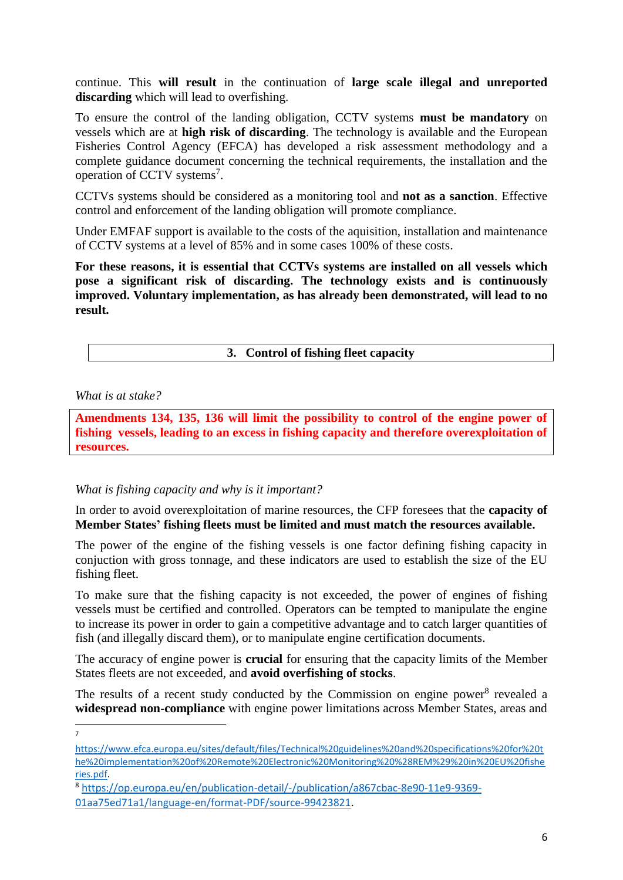continue. This **will result** in the continuation of **large scale illegal and unreported discarding** which will lead to overfishing.

To ensure the control of the landing obligation, CCTV systems **must be mandatory** on vessels which are at **high risk of discarding**. The technology is available and the European Fisheries Control Agency (EFCA) has developed a risk assessment methodology and a complete guidance document concerning the technical requirements, the installation and the operation of CCTV systems<sup>7</sup>.

CCTVs systems should be considered as a monitoring tool and **not as a sanction**. Effective control and enforcement of the landing obligation will promote compliance.

Under EMFAF support is available to the costs of the aquisition, installation and maintenance of CCTV systems at a level of 85% and in some cases 100% of these costs.

**For these reasons, it is essential that CCTVs systems are installed on all vessels which pose a significant risk of discarding. The technology exists and is continuously improved. Voluntary implementation, as has already been demonstrated, will lead to no result.**

### **3. Control of fishing fleet capacity**

*What is at stake?*

-<br>7

**Amendments 134, 135, 136 will limit the possibility to control of the engine power of fishing vessels, leading to an excess in fishing capacity and therefore overexploitation of resources.**

### *What is fishing capacity and why is it important?*

In order to avoid overexploitation of marine resources, the CFP foresees that the **capacity of Member States' fishing fleets must be limited and must match the resources available.**

The power of the engine of the fishing vessels is one factor defining fishing capacity in conjuction with gross tonnage, and these indicators are used to establish the size of the EU fishing fleet.

To make sure that the fishing capacity is not exceeded, the power of engines of fishing vessels must be certified and controlled. Operators can be tempted to manipulate the engine to increase its power in order to gain a competitive advantage and to catch larger quantities of fish (and illegally discard them), or to manipulate engine certification documents.

The accuracy of engine power is **crucial** for ensuring that the capacity limits of the Member States fleets are not exceeded, and **avoid overfishing of stocks**.

The results of a recent study conducted by the Commission on engine power<sup>8</sup> revealed a **widespread non-compliance** with engine power limitations across Member States, areas and

[https://www.efca.europa.eu/sites/default/files/Technical%20guidelines%20and%20specifications%20for%20t](https://www.efca.europa.eu/sites/default/files/Technical%20guidelines%20and%20specifications%20for%20the%20implementation%20of%20Remote%20Electronic%20Monitoring%20%28REM%29%20in%20EU%20fisheries.pdf) [he%20implementation%20of%20Remote%20Electronic%20Monitoring%20%28REM%29%20in%20EU%20fishe](https://www.efca.europa.eu/sites/default/files/Technical%20guidelines%20and%20specifications%20for%20the%20implementation%20of%20Remote%20Electronic%20Monitoring%20%28REM%29%20in%20EU%20fisheries.pdf) [ries.pdf.](https://www.efca.europa.eu/sites/default/files/Technical%20guidelines%20and%20specifications%20for%20the%20implementation%20of%20Remote%20Electronic%20Monitoring%20%28REM%29%20in%20EU%20fisheries.pdf)

<sup>8</sup> [https://op.europa.eu/en/publication-detail/-/publication/a867cbac-8e90-11e9-9369-](https://op.europa.eu/en/publication-detail/-/publication/a867cbac-8e90-11e9-9369-01aa75ed71a1/language-en/format-PDF/source-99423821) [01aa75ed71a1/language-en/format-PDF/source-99423821.](https://op.europa.eu/en/publication-detail/-/publication/a867cbac-8e90-11e9-9369-01aa75ed71a1/language-en/format-PDF/source-99423821)